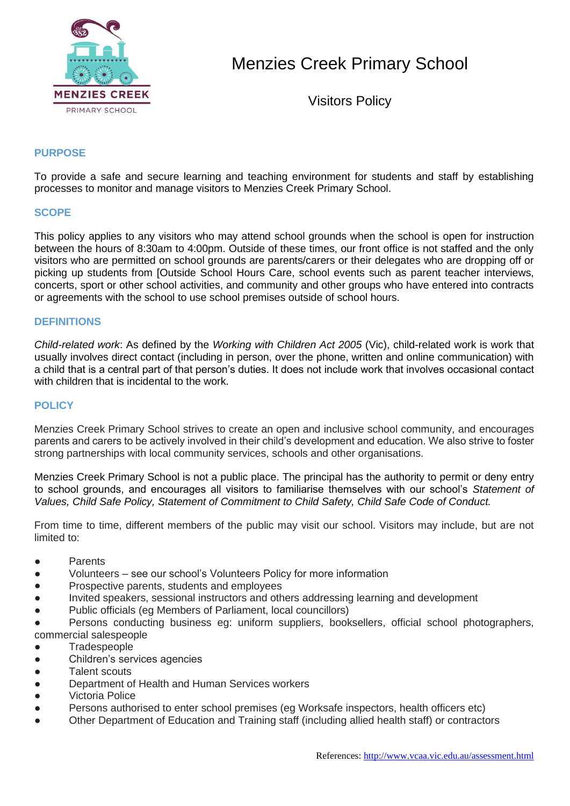

Menzies Creek Primary School

Visitors Policy

# **PURPOSE**

To provide a safe and secure learning and teaching environment for students and staff by establishing processes to monitor and manage visitors to Menzies Creek Primary School.

### **SCOPE**

This policy applies to any visitors who may attend school grounds when the school is open for instruction between the hours of 8:30am to 4:00pm. Outside of these times, our front office is not staffed and the only visitors who are permitted on school grounds are parents/carers or their delegates who are dropping off or picking up students from [Outside School Hours Care, school events such as parent teacher interviews, concerts, sport or other school activities, and community and other groups who have entered into contracts or agreements with the school to use school premises outside of school hours.

### **DEFINITIONS**

*Child-related work*: As defined by the *Working with Children Act 2005* (Vic), child-related work is work that usually involves direct contact (including in person, over the phone, written and online communication) with a child that is a central part of that person's duties. It does not include work that involves occasional contact with children that is incidental to the work.

### **POLICY**

Menzies Creek Primary School strives to create an open and inclusive school community, and encourages parents and carers to be actively involved in their child's development and education. We also strive to foster strong partnerships with local community services, schools and other organisations.

Menzies Creek Primary School is not a public place. The principal has the authority to permit or deny entry to school grounds, and encourages all visitors to familiarise themselves with our school's *Statement of Values, Child Safe Policy, Statement of Commitment to Child Safety, Child Safe Code of Conduct.*

From time to time, different members of the public may visit our school. Visitors may include, but are not limited to:

- Parents
- Volunteers see our school's Volunteers Policy for more information
- Prospective parents, students and employees
- Invited speakers, sessional instructors and others addressing learning and development
- Public officials (eg Members of Parliament, local councillors)

● Persons conducting business eg: uniform suppliers, booksellers, official school photographers, commercial salespeople

- Tradespeople
- Children's services agencies
- Talent scouts
- Department of Health and Human Services workers
- Victoria Police
- Persons authorised to enter school premises (eg Worksafe inspectors, health officers etc)
- Other Department of Education and Training staff (including allied health staff) or contractors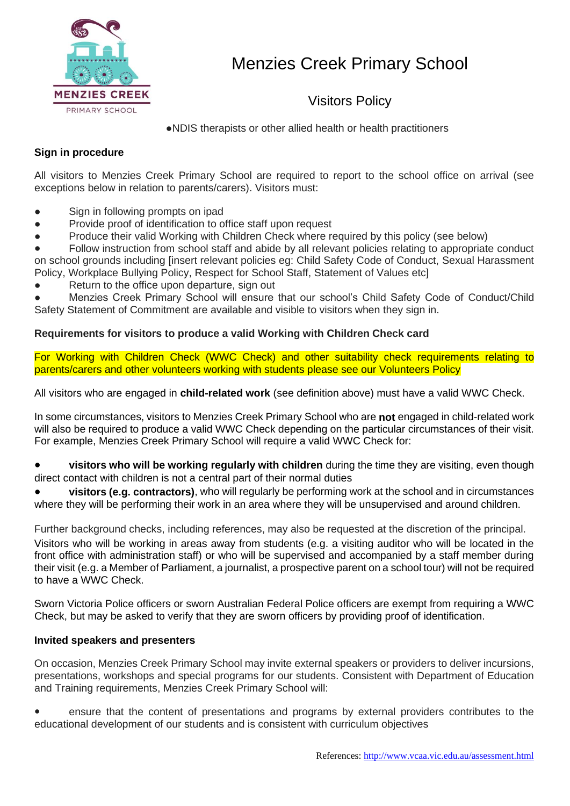

Visitors Policy

●NDIS therapists or other allied health or health practitioners

# **Sign in procedure**

All visitors to Menzies Creek Primary School are required to report to the school office on arrival (see exceptions below in relation to parents/carers). Visitors must:

- Sign in following prompts on ipad
- Provide proof of identification to office staff upon request
- Produce their valid Working with Children Check where required by this policy (see below)
- Follow instruction from school staff and abide by all relevant policies relating to appropriate conduct on school grounds including [insert relevant policies eg: Child Safety Code of Conduct, Sexual Harassment Policy, Workplace Bullying Policy, Respect for School Staff, Statement of Values etc]
- Return to the office upon departure, sign out
- Menzies Creek Primary School will ensure that our school's Child Safety Code of Conduct/Child

Safety Statement of Commitment are available and visible to visitors when they sign in.

# **Requirements for visitors to produce a valid Working with Children Check card**

For Working with Children Check (WWC Check) and other suitability check requirements relating to parents/carers and other volunteers working with students please see our Volunteers Policy

All visitors who are engaged in **child-related work** (see definition above) must have a valid WWC Check.

In some circumstances, visitors to Menzies Creek Primary School who are **not** engaged in child-related work will also be required to produce a valid WWC Check depending on the particular circumstances of their visit. For example, Menzies Creek Primary School will require a valid WWC Check for:

- **visitors who will be working regularly with children** during the time they are visiting, even though direct contact with children is not a central part of their normal duties
- visitors (e.g. contractors), who will regularly be performing work at the school and in circumstances where they will be performing their work in an area where they will be unsupervised and around children.

Further background checks, including references, may also be requested at the discretion of the principal. Visitors who will be working in areas away from students (e.g. a visiting auditor who will be located in the front office with administration staff) or who will be supervised and accompanied by a staff member during their visit (e.g. a Member of Parliament, a journalist, a prospective parent on a school tour) will not be required to have a WWC Check.

Sworn Victoria Police officers or sworn Australian Federal Police officers are exempt from requiring a WWC Check, but may be asked to verify that they are sworn officers by providing proof of identification.

# **Invited speakers and presenters**

On occasion, Menzies Creek Primary School may invite external speakers or providers to deliver incursions, presentations, workshops and special programs for our students. Consistent with Department of Education and Training requirements, Menzies Creek Primary School will:

ensure that the content of presentations and programs by external providers contributes to the educational development of our students and is consistent with curriculum objectives